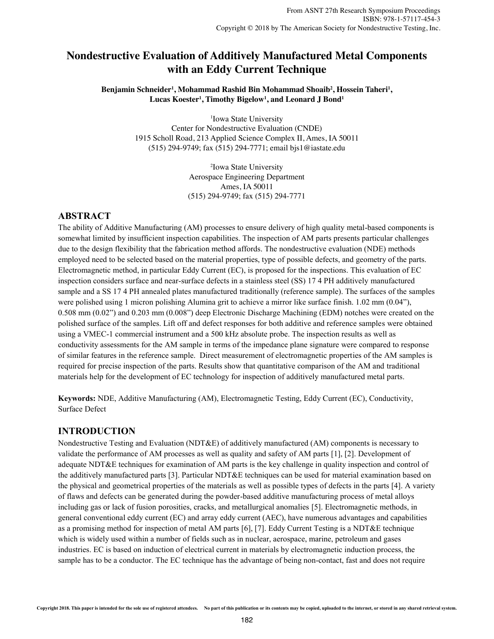# **Nondestructive Evaluation of Additively Manufactured Metal Components Nondestructive Evaluation of Additively Manufactured Metal Components with an Eddy Current Technique with an Eddy Current Technique**

Benjamin Schneider<sup>1</sup>, Mohammad Rashid Bin Mohammad Shoaib<sup>2</sup>, Hossein Taheri<sup>1</sup>, **Lucas Koester<sup>1</sup> , Timothy Bigelow<sup>1</sup> , and Leonard J Bond<sup>1</sup> Timothy Bigelow<sup>1</sup> , and Leonard J Bond<sup>1</sup>**

> <sup>1</sup>Iowa State University Center for Nondestructive Evaluation (CNDE) <sup>1</sup> Iowa State University<br>Center for Nondestructive Evaluation (CNDE)<br>1915 Scholl Road, 213 Applied Science Complex II, Ames, IA 50011 (515) 294-9749; fax (515) 294-7771; email bjs1@iastate.edu<br><sup>2</sup><sup>2</sup>lous</sub> State University

2 Iowa State University Aerospace Engineering Department Ames, IA 50011 (515) 294-9749; fax (515) 294-7771 (515) 294-9749; fax (515) 294-7771<sup>2</sup>Iowa State University<br>Aerospace Engineering Department<br>Ames, IA 50011

# **ABSTRACT**

The ability of Additive Manufacturing (AM) processes to ensure delivery of high quality metal-based components is somewhat limited by insufficient inspection capabilities. The inspection of AM parts presents particular challenges due to the design flexibility that the fabrication method affords. The nondestructive evaluation (NDE) methods employed need to be selected based on the material properties, type of possible defects, and geometry of the parts. Electromagnetic method, in particular Eddy Current (EC), is proposed for the inspections. This evaluation of EC inspection considers surface and near-surface defects in a stainless steel (SS) 17 4 PH additively manufactured sample and a SS 17 4 PH annealed plates manufactured traditionally (reference sample). The surfaces of the samples were polished using 1 micron polishing Alumina grit to achieve a mirror like surface finish. 1.02 mm (0.04"), 0.508 mm (0.02") and 0.203 mm (0.008") deep Electronic Discharge Machining (EDM) notches were created on the polished surface of the samples. Lift off and defect responses for both additive and reference samples were obtained using a VMEC-1 commercial instrument and a 500 kHz absolute probe. The inspection results as well as conductivity assessments for the AM sample in terms of the impedance plane signature were compared to response of similar features in the reference sample. Direct measurement of electromagnetic properties of the AM samples is required for precise inspection of the parts. Results show that quantitative comparison of the AM and traditional materials help for the development of EC technology for inspection of additively manufactured metal parts.

**Keywords:** NDE, Additive Manufacturing (AM), Electromagnetic Testing, Eddy Current (EC), Conductivity, Surface Defect

# **INTRODUCTION**

Nondestructive Testing and Evaluation (NDT&E) of additively manufactured (AM) components is necessary to validate the performance of AM processes as well as quality and safety of AM parts [1], [2]. Development of adequate NDT&E techniques for examination of AM parts is the key challenge in quality inspection and control of the additively manufactured parts [3]. Particular NDT&E techniques can be used for material examination based on the physical and geometrical properties of the materials as well as possible types of defects in the parts [4]. A variety of flaws and defects can be generated during the powder-based additive manufacturing process of metal alloys including gas or lack of fusion porosities, cracks, and metallurgical anomalies [5]. Electromagnetic methods, in general conventional eddy current (EC) and array eddy current (AEC), have numerous advantages and capabilities as a promising method for inspection of metal AM parts [6], [7]. Eddy Current Testing is a NDT&E technique which is widely used within a number of fields such as in nuclear, aerospace, marine, petroleum and gases industries. EC is based on induction of electrical current in materials by electromagnetic induction process, the sample has to be a conductor. The EC technique has the advantage of being non-contact, fast and does not require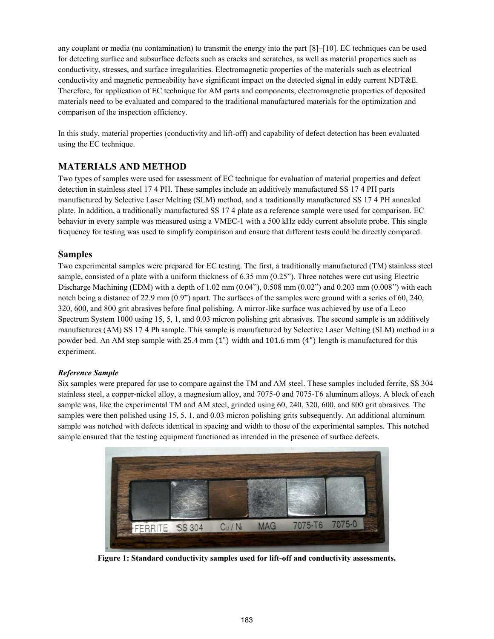any couplant or media (no contamination) to transmit the energy into the part [8]–[10]. EC techniques can be used for detecting surface and subsurface defects such as cracks and scratches, as well as material properties such as conductivity, stresses, and surface irregularities. Electromagnetic properties of the materials such as electrical conductivity and magnetic permeability have significant impact on the detected signal in eddy current NDT&E. Therefore, for application of EC technique for AM parts and components, electromagnetic properties of deposited materials need to be evaluated and compared to the traditional manufactured materials for the optimization and comparison of the inspection efficiency.

In this study, material properties (conductivity and lift-off) and capability of defect detection has been evaluated using the EC technique.

# **MATERIALS AND METHOD**

Two types of samples were used for assessment of EC technique for evaluation of material properties and defect detection in stainless steel 17 4 PH. These samples include an additively manufactured SS 17 4 PH parts manufactured by Selective Laser Melting (SLM) method, and a traditionally manufactured SS 17 4 PH annealed plate. In addition, a traditionally manufactured SS 17 4 plate as a reference sample were used for comparison. EC behavior in every sample was measured using a VMEC-1 with a 500 kHz eddy current absolute probe. This single frequency for testing was used to simplify comparison and ensure that different tests could be directly compared.

# **Samples**

Two experimental samples were prepared for EC testing. The first, a traditionally manufactured (TM) stainless steel sample, consisted of a plate with a uniform thickness of 6.35 mm (0.25"). Three notches were cut using Electric Discharge Machining (EDM) with a depth of  $1.02 \text{ mm } (0.04$ "),  $0.508 \text{ mm } (0.02)$ " and  $0.203 \text{ mm } (0.008)$ " with each notch being a distance of 22.9 mm (0.9") apart. The surfaces of the samples were ground with a series of 60, 240, 320, 600, and 800 grit abrasives before final polishing. A mirror-like surface was achieved by use of a Leco Spectrum System 1000 using 15, 5, 1, and 0.03 micron polishing grit abrasives. The second sample is an additively manufactures (AM) SS 17 4 Ph sample. This sample is manufactured by Selective Laser Melting (SLM) method in a powder bed. An AM step sample with 25.4 mm (1") width and 101.6 mm (4") length is manufactured for this experiment.

## *Reference Sample*

Six samples were prepared for use to compare against the TM and AM steel. These samples included ferrite, SS 304 stainless steel, a copper-nickel alloy, a magnesium alloy, and 7075-0 and 7075-T6 aluminum alloys. A block of each sample was, like the experimental TM and AM steel, grinded using 60, 240, 320, 600, and 800 grit abrasives. The samples were then polished using 15, 5, 1, and 0.03 micron polishing grits subsequently. An additional aluminum sample was notched with defects identical in spacing and width to those of the experimental samples. This notched sample ensured that the testing equipment functioned as intended in the presence of surface defects.



**Figure 1: Standard conductivity samples used for lift-off and conductivity assessments.**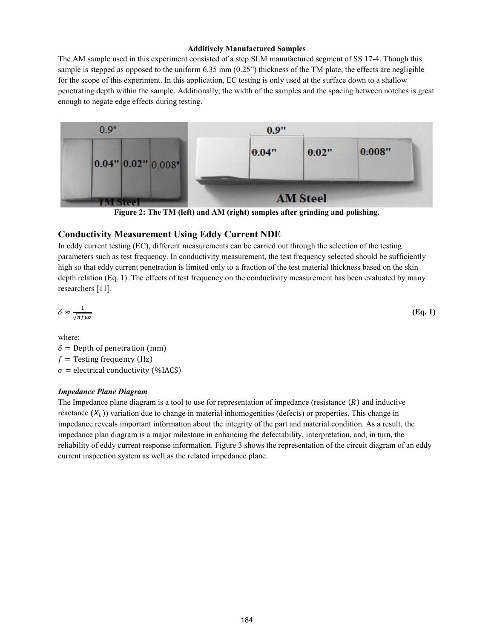#### **Additively Manufactured Samples**

The AM sample used in this experiment consisted of a step SLM manufactured segment of SS 17-4. Though this sample is stepped as opposed to the uniform  $6.35$  mm  $(0.25)$  thickness of the TM plate, the effects are negligible for the scope of this experiment. In this application, EC testing is only used at the surface down to a shallow penetrating depth within the sample. Additionally, the width of the samples and the spacing between notches is great enough to negate edge effects during testing.



**Figure 2: The TM (left) and AM (right) samples after grinding and polishing.** 

### **Conductivity Measurement Using Eddy Current NDE**

In eddy current testing (EC), different measurements can be carried out through the selection of the testing parameters such as test frequency. In conductivity measurement, the test frequency selected should be sufficiently high so that eddy current penetration is limited only to a fraction of the test material thickness based on the skin depth relation (Eq. 1). The effects of test frequency on the conductivity measurement has been evaluated by many researchers [11].

$$
\delta \approx \frac{1}{\sqrt{\pi f \mu \sigma}} \tag{Eq. 1}
$$

where;  $\delta$  = Depth of penetration (mm)  $f =$  Testing frequency (Hz)  $\sigma$  = electrical conductivity (%IACS)

#### *Impedance Plane Diagram*

The Impedance plane diagram is a tool to use for representation of impedance (resistance  $(R)$ ) and inductive reactance  $(X<sub>1</sub>)$ ) variation due to change in material inhomogenities (defects) or properties. This change in impedance reveals important information about the integrity of the part and material condition. As a result, the impedance plan diagram is a major milestone in enhancing the defectability, interpretation, and, in turn, the reliability of eddy current response information. Figure 3 shows the representation of the circuit diagram of an eddy current inspection system as well as the related impedance plane.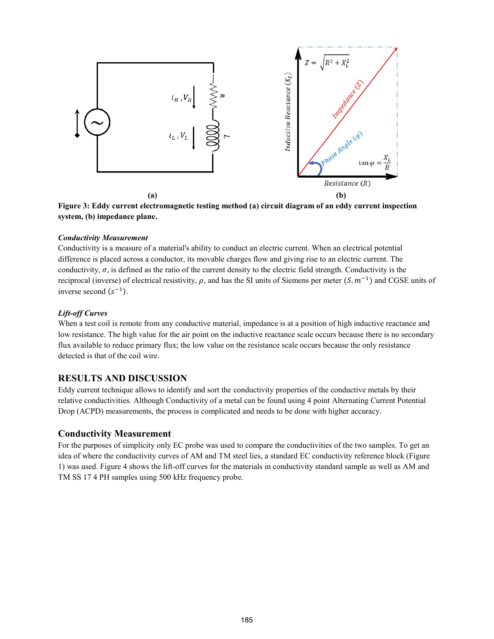

**Figure 3: Eddy current electromagnetic testing method (a) circuit diagram of an eddy current inspection system, (b) impedance plane.** 

#### *Conductivity Measurement*

Conductivity is a measure of a material's ability to conduct an electric current. When an electrical potential difference is placed across a conductor, its movable charges flow and giving rise to an electric current. The conductivity,  $\sigma$ , is defined as the ratio of the current density to the electric field strength. Conductivity is the reciprocal (inverse) of electrical resistivity,  $\rho$ , and has the SI units of Siemens per meter  $(S, m^{-1})$  and CGSE units of inverse second  $(s^{-1})$ .

#### *Lift-off Curves*

When a test coil is remote from any conductive material, impedance is at a position of high inductive reactance and low resistance. The high value for the air point on the inductive reactance scale occurs because there is no secondary flux available to reduce primary flux; the low value on the resistance scale occurs because the only resistance detected is that of the coil wire.

#### **RESULTS AND DISCUSSION**

Eddy current technique allows to identify and sort the conductivity properties of the conductive metals by their relative conductivities. Although Conductivity of a metal can be found using 4 point Alternating Current Potential Drop (ACPD) measurements, the process is complicated and needs to be done with higher accuracy.

#### **Conductivity Measurement**

For the purposes of simplicity only EC probe was used to compare the conductivities of the two samples. To get an idea of where the conductivity curves of AM and TM steel lies, a standard EC conductivity reference block (Figure 1) was used. Figure 4 shows the lift-off curves for the materials in conductivity standard sample as well as AM and TM SS 17 4 PH samples using 500 kHz frequency probe.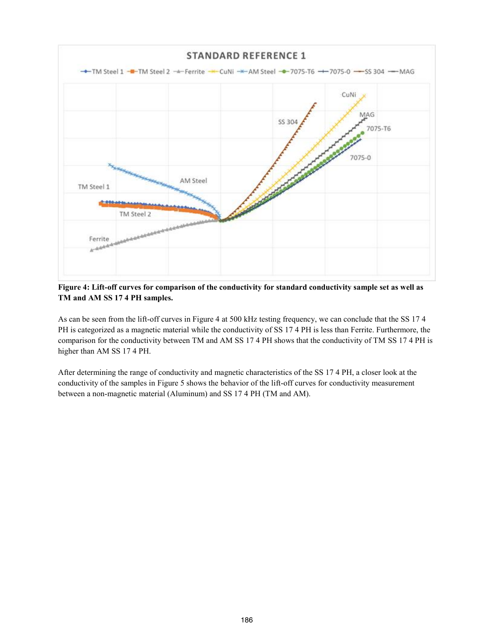

**Figure 4: Lift-off curves for comparison of the conductivity for standard conductivity sample set as well as TM and AM SS 17 4 PH samples.**

As can be seen from the lift-off curves in Figure 4 at 500 kHz testing frequency, we can conclude that the SS 17 4 PH is categorized as a magnetic material while the conductivity of SS 17 4 PH is less than Ferrite. Furthermore, the comparison for the conductivity between TM and AM SS 17 4 PH shows that the conductivity of TM SS 17 4 PH is higher than AM SS 17 4 PH.

After determining the range of conductivity and magnetic characteristics of the SS 17 4 PH, a closer look at the conductivity of the samples in Figure 5 shows the behavior of the lift-off curves for conductivity measurement between a non-magnetic material (Aluminum) and SS 17 4 PH (TM and AM).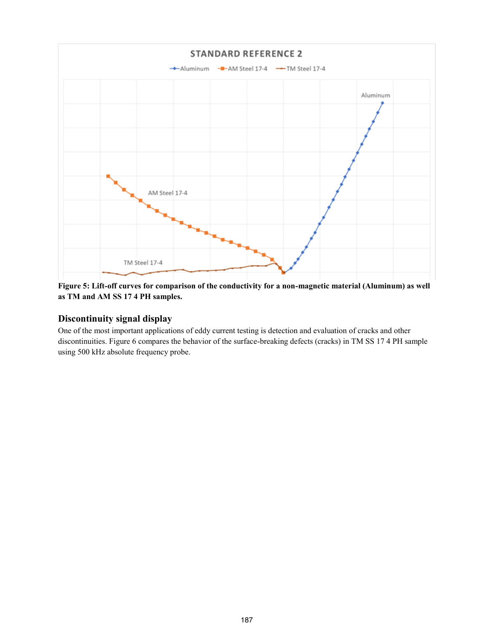

**Figure 5: Lift-off curves for comparison of the conductivity for a non-magnetic material (Aluminum) as well as TM and AM SS 17 4 PH samples.**

# **Discontinuity signal display**

One of the most important applications of eddy current testing is detection and evaluation of cracks and other discontinuities. Figure 6 compares the behavior of the surface-breaking defects (cracks) in TM SS 17 4 PH sample using 500 kHz absolute frequency probe.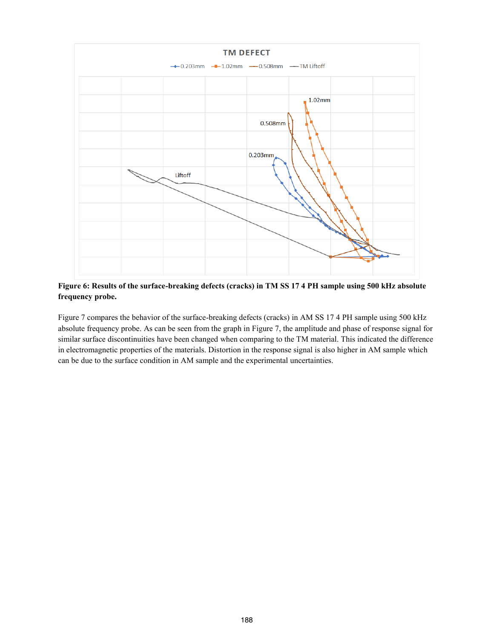

**Figure 6: Results of the surface-breaking defects (cracks) in TM SS 17 4 PH sample using 500 kHz absolute frequency probe.**

Figure 7 compares the behavior of the surface-breaking defects (cracks) in AM SS 17 4 PH sample using 500 kHz absolute frequency probe. As can be seen from the graph in Figure 7, the amplitude and phase of response signal for similar surface discontinuities have been changed when comparing to the TM material. This indicated the difference in electromagnetic properties of the materials. Distortion in the response signal is also higher in AM sample which can be due to the surface condition in AM sample and the experimental uncertainties.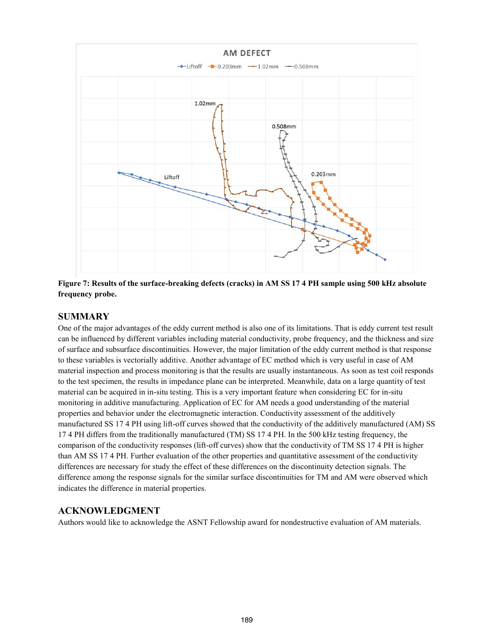

**Figure 7: Results of the surface-breaking defects (cracks) in AM SS 17 4 PH sample using 500 kHz absolute frequency probe.**

# **SUMMARY**

One of the major advantages of the eddy current method is also one of its limitations. That is eddy current test result can be influenced by different variables including material conductivity, probe frequency, and the thickness and size of surface and subsurface discontinuities. However, the major limitation of the eddy current method is that response to these variables is vectorially additive. Another advantage of EC method which is very useful in case of AM material inspection and process monitoring is that the results are usually instantaneous. As soon as test coil responds to the test specimen, the results in impedance plane can be interpreted. Meanwhile, data on a large quantity of test material can be acquired in in-situ testing. This is a very important feature when considering EC for in-situ monitoring in additive manufacturing. Application of EC for AM needs a good understanding of the material properties and behavior under the electromagnetic interaction. Conductivity assessment of the additively manufactured SS 17 4 PH using lift-off curves showed that the conductivity of the additively manufactured (AM) SS 17 4 PH differs from the traditionally manufactured (TM) SS 17 4 PH. In the 500 kHz testing frequency, the comparison of the conductivity responses (lift-off curves) show that the conductivity of TM SS 17 4 PH is higher than AM SS 17 4 PH. Further evaluation of the other properties and quantitative assessment of the conductivity differences are necessary for study the effect of these differences on the discontinuity detection signals. The difference among the response signals for the similar surface discontinuities for TM and AM were observed which indicates the difference in material properties.

## **ACKNOWLEDGMENT**

Authors would like to acknowledge the ASNT Fellowship award for nondestructive evaluation of AM materials.